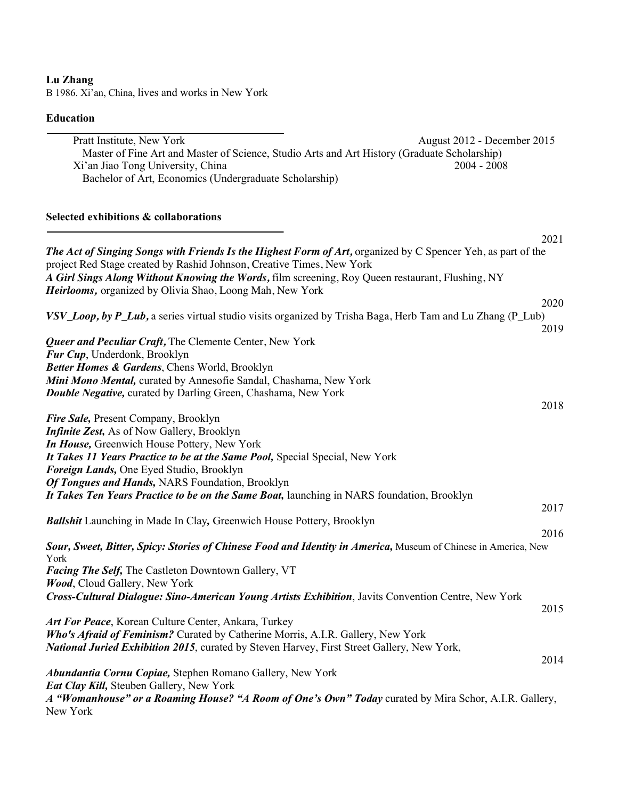# **Lu Zhang**

B 1986. Xi'an, China, lives and works in New York

### **Education**

Pratt Institute, New York August 2012 - December 2015 Master of Fine Art and Master of Science, Studio Arts and Art History (Graduate Scholarship) Xi'an Jiao Tong University, China 2004 - 2008 Bachelor of Art, Economics (Undergraduate Scholarship)

## **Selected exhibitions & collaborations**

|                                                                                                                | 2021 |
|----------------------------------------------------------------------------------------------------------------|------|
| The Act of Singing Songs with Friends Is the Highest Form of Art, organized by C Spencer Yeh, as part of the   |      |
| project Red Stage created by Rashid Johnson, Creative Times, New York                                          |      |
| A Girl Sings Along Without Knowing the Words, film screening, Roy Queen restaurant, Flushing, NY               |      |
| Heirlooms, organized by Olivia Shao, Loong Mah, New York                                                       |      |
|                                                                                                                | 2020 |
| VSV_Loop, by P_Lub, a series virtual studio visits organized by Trisha Baga, Herb Tam and Lu Zhang (P_Lub)     |      |
|                                                                                                                | 2019 |
|                                                                                                                |      |
| Queer and Peculiar Craft, The Clemente Center, New York                                                        |      |
| Fur Cup, Underdonk, Brooklyn                                                                                   |      |
| Better Homes & Gardens, Chens World, Brooklyn                                                                  |      |
| Mini Mono Mental, curated by Annesofie Sandal, Chashama, New York                                              |      |
| <b>Double Negative, curated by Darling Green, Chashama, New York</b>                                           |      |
|                                                                                                                | 2018 |
| Fire Sale, Present Company, Brooklyn                                                                           |      |
| Infinite Zest, As of Now Gallery, Brooklyn                                                                     |      |
| In House, Greenwich House Pottery, New York                                                                    |      |
| It Takes 11 Years Practice to be at the Same Pool, Special Special, New York                                   |      |
| Foreign Lands, One Eyed Studio, Brooklyn                                                                       |      |
| Of Tongues and Hands, NARS Foundation, Brooklyn                                                                |      |
| It Takes Ten Years Practice to be on the Same Boat, launching in NARS foundation, Brooklyn                     |      |
|                                                                                                                | 2017 |
| <b>Ballshit</b> Launching in Made In Clay, Greenwich House Pottery, Brooklyn                                   |      |
|                                                                                                                | 2016 |
| Sour, Sweet, Bitter, Spicy: Stories of Chinese Food and Identity in America, Museum of Chinese in America, New |      |
| York                                                                                                           |      |
| Facing The Self, The Castleton Downtown Gallery, VT                                                            |      |
| Wood, Cloud Gallery, New York                                                                                  |      |
| Cross-Cultural Dialogue: Sino-American Young Artists Exhibition, Javits Convention Centre, New York            |      |
|                                                                                                                | 2015 |
| Art For Peace, Korean Culture Center, Ankara, Turkey                                                           |      |
| Who's Afraid of Feminism? Curated by Catherine Morris, A.I.R. Gallery, New York                                |      |
| National Juried Exhibition 2015, curated by Steven Harvey, First Street Gallery, New York,                     |      |
|                                                                                                                | 2014 |
| Abundantia Cornu Copiae, Stephen Romano Gallery, New York                                                      |      |
| Eat Clay Kill, Steuben Gallery, New York                                                                       |      |
| A "Womanhouse" or a Roaming House? "A Room of One's Own" Today curated by Mira Schor, A.I.R. Gallery,          |      |
| New York                                                                                                       |      |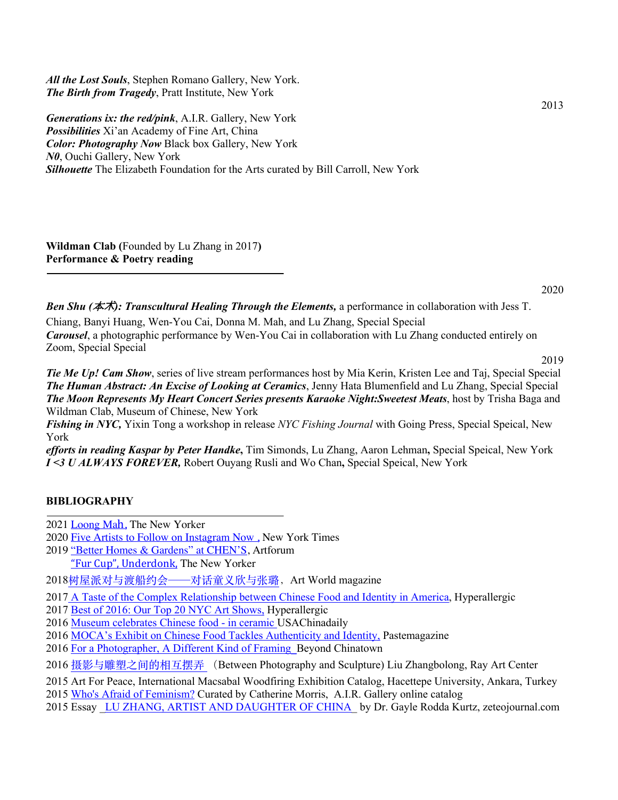*All the Lost Souls*, Stephen Romano Gallery, New York. *The Birth from Tragedy*, Pratt Institute, New York

*Generations ix: the red/pink*, A.I.R. Gallery, New York *Possibilities* Xi'an Academy of Fine Art, China *Color: Photography Now* Black box Gallery, New York *N0*, Ouchi Gallery, New York *Silhouette* The Elizabeth Foundation for the Arts curated by Bill Carroll, New York

**Wildman Clab (**Founded by Lu Zhang in 2017**) Performance & Poetry reading** 

2013

*Ben Shu (*本**术***): Transcultural Healing Through the Elements,* a performance in collaboration with Jess T. Chiang, Banyi Huang, Wen-You Cai, Donna M. Mah, and Lu Zhang, Special Special *Carousel*, a photographic performance by Wen-You Cai in collaboration with Lu Zhang conducted entirely on Zoom, Special Special

2019

*Tie Me Up! Cam Show*, series of live stream performances host by Mia Kerin, Kristen Lee and Taj, Special Special *The Human Abstract: An Excise of Looking at Ceramics*, Jenny Hata Blumenfield and Lu Zhang, Special Special *The Moon Represents My Heart Concert Series presents Karaoke Night:Sweetest Meats*, host by Trisha Baga and Wildman Clab, Museum of Chinese, New York

*Fishing in NYC,* Yixin Tong a workshop in release *NYC Fishing Journal* with Going Press, Special Speical, New York

*efforts in reading Kaspar by Peter Handke***,** Tim Simonds, Lu Zhang, Aaron Lehman**,** Special Speical, New York *I <3 U ALWAYS FOREVER,* Robert Ouyang Rusli and Wo Chan**,** Special Speical, New York

#### **BIBLIOGRAPHY**

2021 Loong Mah, The New Yorker

- 2020 Five Artists to Follow on Instagram Now , New York Times
- 2019 "Better Homes & Gardens" at CHEN'S, Artforum "Fur Cup", Underdonk, The New Yorker

2018树屋派对与渡船约会——对话童义欣与张璐,Art World magazine

2017 A Taste of the Complex Relationship between Chinese Food and Identity in America, Hyperallergic

- 2017 Best of 2016: Our Top 20 NYC Art Shows, Hyperallergic
- 2016 Museum celebrates Chinese food in ceramic USAChinadaily
- 2016 MOCA's Exhibit on Chinese Food Tackles Authenticity and Identity, Pastemagazine
- 2016 For a Photographer, A Different Kind of Framing\_Beyond Chinatown
- 2016 摄影与雕塑之间的相互摆弄 (Between Photography and Sculpture) Liu Zhangbolong, Ray Art Center
- 2015 Art For Peace, International Macsabal Woodfiring Exhibition Catalog, Hacettepe University, Ankara, Turkey
- 2015 Who's Afraid of Feminism? Curated by Catherine Morris, A.I.R. Gallery online catalog
- 2015 Essay LU ZHANG, ARTIST AND DAUGHTER OF CHINA by Dr. Gayle Rodda Kurtz, zeteojournal.com